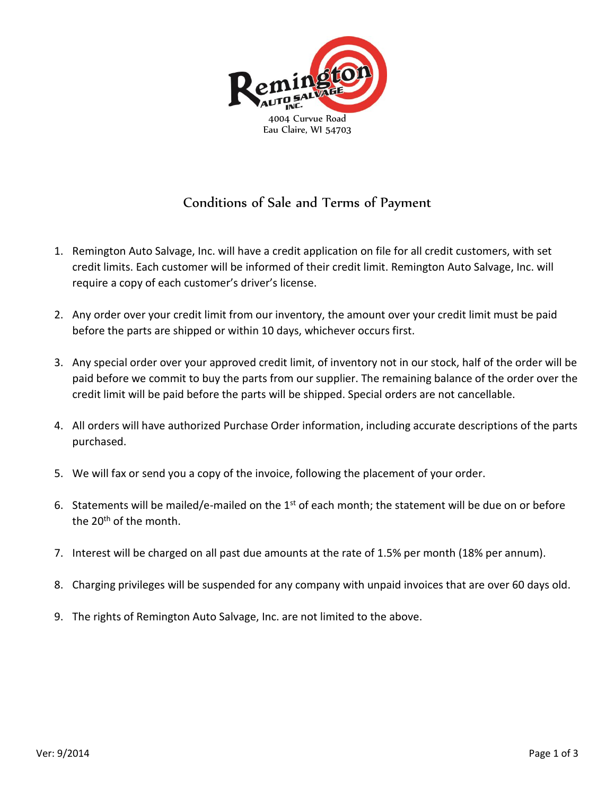

## Conditions of Sale and Terms of Payment

- 1. Remington Auto Salvage, Inc. will have a credit application on file for all credit customers, with set credit limits. Each customer will be informed of their credit limit. Remington Auto Salvage, Inc. will require a copy of each customer's driver's license.
- 2. Any order over your credit limit from our inventory, the amount over your credit limit must be paid before the parts are shipped or within 10 days, whichever occurs first.
- 3. Any special order over your approved credit limit, of inventory not in our stock, half of the order will be paid before we commit to buy the parts from our supplier. The remaining balance of the order over the credit limit will be paid before the parts will be shipped. Special orders are not cancellable.
- 4. All orders will have authorized Purchase Order information, including accurate descriptions of the parts purchased.
- 5. We will fax or send you a copy of the invoice, following the placement of your order.
- 6. Statements will be mailed/e-mailed on the 1st of each month; the statement will be due on or before the 20<sup>th</sup> of the month.
- 7. Interest will be charged on all past due amounts at the rate of 1.5% per month (18% per annum).
- 8. Charging privileges will be suspended for any company with unpaid invoices that are over 60 days old.
- 9. The rights of Remington Auto Salvage, Inc. are not limited to the above.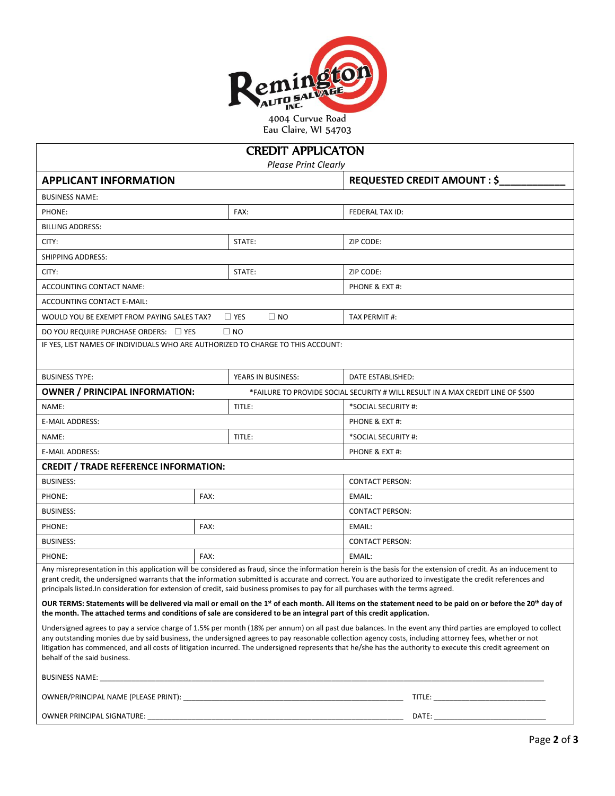

Eau Claire, WI 54703

| <b>CREDIT APPLICATON</b><br><b>Please Print Clearly</b>                                                                                                                                                                       |                            |                                                                                                                                                                                                                                                                                                                                                                                                                                                                                         |  |  |  |  |  |
|-------------------------------------------------------------------------------------------------------------------------------------------------------------------------------------------------------------------------------|----------------------------|-----------------------------------------------------------------------------------------------------------------------------------------------------------------------------------------------------------------------------------------------------------------------------------------------------------------------------------------------------------------------------------------------------------------------------------------------------------------------------------------|--|--|--|--|--|
| <b>APPLICANT INFORMATION</b>                                                                                                                                                                                                  |                            | <b>REQUESTED CREDIT AMOUNT : \$</b>                                                                                                                                                                                                                                                                                                                                                                                                                                                     |  |  |  |  |  |
| <b>BUSINESS NAME:</b>                                                                                                                                                                                                         |                            |                                                                                                                                                                                                                                                                                                                                                                                                                                                                                         |  |  |  |  |  |
| PHONE:                                                                                                                                                                                                                        | FAX:                       | FEDERAL TAX ID:                                                                                                                                                                                                                                                                                                                                                                                                                                                                         |  |  |  |  |  |
| <b>BILLING ADDRESS:</b>                                                                                                                                                                                                       |                            |                                                                                                                                                                                                                                                                                                                                                                                                                                                                                         |  |  |  |  |  |
| CITY:                                                                                                                                                                                                                         | STATE:                     | ZIP CODE:                                                                                                                                                                                                                                                                                                                                                                                                                                                                               |  |  |  |  |  |
| <b>SHIPPING ADDRESS:</b>                                                                                                                                                                                                      |                            |                                                                                                                                                                                                                                                                                                                                                                                                                                                                                         |  |  |  |  |  |
| CITY:                                                                                                                                                                                                                         | STATE:                     | ZIP CODE:                                                                                                                                                                                                                                                                                                                                                                                                                                                                               |  |  |  |  |  |
| ACCOUNTING CONTACT NAME:                                                                                                                                                                                                      |                            | PHONE & EXT #:                                                                                                                                                                                                                                                                                                                                                                                                                                                                          |  |  |  |  |  |
| ACCOUNTING CONTACT E-MAIL:                                                                                                                                                                                                    |                            |                                                                                                                                                                                                                                                                                                                                                                                                                                                                                         |  |  |  |  |  |
| WOULD YOU BE EXEMPT FROM PAYING SALES TAX?                                                                                                                                                                                    | $\Box$ YES<br>$\square$ NO | TAX PERMIT #:                                                                                                                                                                                                                                                                                                                                                                                                                                                                           |  |  |  |  |  |
| DO YOU REQUIRE PURCHASE ORDERS: □ YES                                                                                                                                                                                         | $\square$ NO               |                                                                                                                                                                                                                                                                                                                                                                                                                                                                                         |  |  |  |  |  |
| IF YES, LIST NAMES OF INDIVIDUALS WHO ARE AUTHORIZED TO CHARGE TO THIS ACCOUNT:                                                                                                                                               |                            |                                                                                                                                                                                                                                                                                                                                                                                                                                                                                         |  |  |  |  |  |
| <b>BUSINESS TYPE:</b>                                                                                                                                                                                                         | YEARS IN BUSINESS:         | DATE ESTABLISHED:                                                                                                                                                                                                                                                                                                                                                                                                                                                                       |  |  |  |  |  |
| <b>OWNER / PRINCIPAL INFORMATION:</b>                                                                                                                                                                                         |                            | *FAILURE TO PROVIDE SOCIAL SECURITY # WILL RESULT IN A MAX CREDIT LINE OF \$500                                                                                                                                                                                                                                                                                                                                                                                                         |  |  |  |  |  |
| NAME:                                                                                                                                                                                                                         | TITLE:                     | *SOCIAL SECURITY #:                                                                                                                                                                                                                                                                                                                                                                                                                                                                     |  |  |  |  |  |
| E-MAIL ADDRESS:                                                                                                                                                                                                               |                            | PHONE & EXT #:                                                                                                                                                                                                                                                                                                                                                                                                                                                                          |  |  |  |  |  |
| NAME:                                                                                                                                                                                                                         | TITLE:                     | *SOCIAL SECURITY #:                                                                                                                                                                                                                                                                                                                                                                                                                                                                     |  |  |  |  |  |
| E-MAIL ADDRESS:                                                                                                                                                                                                               |                            | PHONE & EXT #:                                                                                                                                                                                                                                                                                                                                                                                                                                                                          |  |  |  |  |  |
| <b>CREDIT / TRADE REFERENCE INFORMATION:</b>                                                                                                                                                                                  |                            |                                                                                                                                                                                                                                                                                                                                                                                                                                                                                         |  |  |  |  |  |
| <b>BUSINESS:</b>                                                                                                                                                                                                              |                            | <b>CONTACT PERSON:</b>                                                                                                                                                                                                                                                                                                                                                                                                                                                                  |  |  |  |  |  |
| PHONE:                                                                                                                                                                                                                        | FAX:                       | EMAIL:                                                                                                                                                                                                                                                                                                                                                                                                                                                                                  |  |  |  |  |  |
| <b>BUSINESS:</b>                                                                                                                                                                                                              |                            | <b>CONTACT PERSON:</b>                                                                                                                                                                                                                                                                                                                                                                                                                                                                  |  |  |  |  |  |
| PHONE:                                                                                                                                                                                                                        | FAX:                       | EMAIL:                                                                                                                                                                                                                                                                                                                                                                                                                                                                                  |  |  |  |  |  |
| <b>BUSINESS:</b>                                                                                                                                                                                                              |                            | <b>CONTACT PERSON:</b>                                                                                                                                                                                                                                                                                                                                                                                                                                                                  |  |  |  |  |  |
| PHONE:                                                                                                                                                                                                                        | FAX:                       | EMAIL:                                                                                                                                                                                                                                                                                                                                                                                                                                                                                  |  |  |  |  |  |
| principals listed. In consideration for extension of credit, said business promises to pay for all purchases with the terms agreed.                                                                                           |                            | Any misrepresentation in this application will be considered as fraud, since the information herein is the basis for the extension of credit. As an inducement to<br>grant credit, the undersigned warrants that the information submitted is accurate and correct. You are authorized to investigate the credit references and                                                                                                                                                         |  |  |  |  |  |
| the month. The attached terms and conditions of sale are considered to be an integral part of this credit application.                                                                                                        |                            | OUR TERMS: Statements will be delivered via mail or email on the 1st of each month. All items on the statement need to be paid on or before the 20 <sup>th</sup> day of                                                                                                                                                                                                                                                                                                                 |  |  |  |  |  |
| behalf of the said business.                                                                                                                                                                                                  |                            | Undersigned agrees to pay a service charge of 1.5% per month (18% per annum) on all past due balances. In the event any third parties are employed to collect<br>any outstanding monies due by said business, the undersigned agrees to pay reasonable collection agency costs, including attorney fees, whether or not<br>litigation has commenced, and all costs of litigation incurred. The undersigned represents that he/she has the authority to execute this credit agreement on |  |  |  |  |  |
| BUSINESS NAME: New York State State State State State State State State State State State State State State State State State State State State State State State State State State State State State State State State State |                            |                                                                                                                                                                                                                                                                                                                                                                                                                                                                                         |  |  |  |  |  |
|                                                                                                                                                                                                                               |                            |                                                                                                                                                                                                                                                                                                                                                                                                                                                                                         |  |  |  |  |  |
|                                                                                                                                                                                                                               |                            |                                                                                                                                                                                                                                                                                                                                                                                                                                                                                         |  |  |  |  |  |